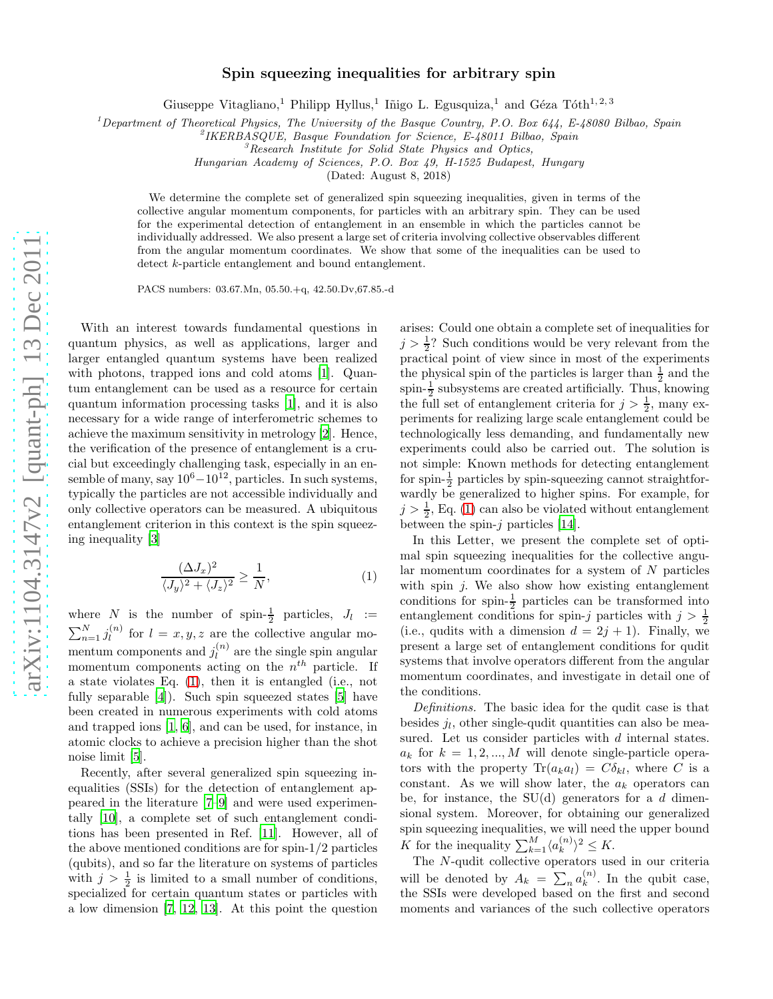## Spin squeezing inequalities for arbitrary spin

Giuseppe Vitagliano,<sup>1</sup> Philipp Hyllus,<sup>1</sup> Iñigo L. Egusquiza,<sup>1</sup> and Géza Tóth<sup>1,2,3</sup>

<sup>1</sup>Department of Theoretical Physics, The University of the Basque Country, P.O. Box 644, E-48080 Bilbao, Spain

Hungarian Academy of Sciences, P.O. Box 49, H-1525 Budapest, Hungary

(Dated: August 8, 2018)

We determine the complete set of generalized spin squeezing inequalities, given in terms of the collective angular momentum components, for particles with an arbitrary spin. They can be used for the experimental detection of entanglement in an ensemble in which the particles cannot be individually addressed. We also present a large set of criteria involving collective observables different from the angular momentum coordinates. We show that some of the inequalities can be used to detect k-particle entanglement and bound entanglement.

PACS numbers: 03.67.Mn, 05.50.+q, 42.50.Dv,67.85.-d

With an interest towards fundamental questions in quantum physics, as well as applications, larger and larger entangled quantum systems have been realized with photons, trapped ions and cold atoms [\[1](#page-3-0)]. Quantum entanglement can be used as a resource for certain quantum information processing tasks [\[1\]](#page-3-0), and it is also necessary for a wide range of interferometric schemes to achieve the maximum sensitivity in metrology [\[2](#page-3-1)]. Hence, the verification of the presence of entanglement is a crucial but exceedingly challenging task, especially in an ensemble of many, say  $10^6 - 10^{12}$ , particles. In such systems, typically the particles are not accessible individually and only collective operators can be measured. A ubiquitous entanglement criterion in this context is the spin squeezing inequality [\[3\]](#page-3-2)

$$
\frac{(\Delta J_x)^2}{\langle J_y \rangle^2 + \langle J_z \rangle^2} \ge \frac{1}{N},\tag{1}
$$

where N is the number of spin- $\frac{1}{2}$  particles,  $J_l :=$  $\sum_{n=1}^{N} j_l^{(n)}$  for  $l = x, y, z$  are the coll  $l_l^{(n)}$  for  $l = x, y, z$  are the collective angular momentum components and  $j_l^{(n)}$  $\binom{n}{l}$  are the single spin angular momentum components acting on the  $n<sup>th</sup>$  particle. If a state violates Eq. [\(1\)](#page-4-0), then it is entangled (i.e., not fully separable [\[4\]](#page-3-3)). Such spin squeezed states [\[5\]](#page-3-4) have been created in numerous experiments with cold atoms and trapped ions [\[1,](#page-3-0) [6\]](#page-3-5), and can be used, for instance, in atomic clocks to achieve a precision higher than the shot noise limit [\[5\]](#page-3-4).

Recently, after several generalized spin squeezing inequalities (SSIs) for the detection of entanglement appeared in the literature [\[7](#page-3-6)[–9](#page-3-7)] and were used experimentally [\[10](#page-3-8)], a complete set of such entanglement conditions has been presented in Ref. [\[11\]](#page-3-9). However, all of the above mentioned conditions are for spin-1/2 particles (qubits), and so far the literature on systems of particles with  $j > \frac{1}{2}$  is limited to a small number of conditions, specialized for certain quantum states or particles with a low dimension [\[7](#page-3-6), [12](#page-3-10), [13\]](#page-3-11). At this point the question

arises: Could one obtain a complete set of inequalities for  $j > \frac{1}{2}$ ? Such conditions would be very relevant from the practical point of view since in most of the experiments the physical spin of the particles is larger than  $\frac{1}{2}$  and the spin- $\frac{1}{2}$  subsystems are created artificially. Thus, knowing the full set of entanglement criteria for  $j > \frac{1}{2}$ , many experiments for realizing large scale entanglement could be technologically less demanding, and fundamentally new experiments could also be carried out. The solution is not simple: Known methods for detecting entanglement for spin- $\frac{1}{2}$  particles by spin-squeezing cannot straightforwardly be generalized to higher spins. For example, for  $j > \frac{1}{2}$ , Eq. [\(1\)](#page-4-0) can also be violated without entanglement between the spin- $j$  particles [\[14](#page-3-12)].

In this Letter, we present the complete set of optimal spin squeezing inequalities for the collective angular momentum coordinates for a system of  $N$  particles with spin  $i$ . We also show how existing entanglement conditions for spin- $\frac{1}{2}$  particles can be transformed into entanglement conditions for spin-j particles with  $j > \frac{1}{2}$ (i.e., qudits with a dimension  $d = 2j + 1$ ). Finally, we present a large set of entanglement conditions for qudit systems that involve operators different from the angular momentum coordinates, and investigate in detail one of the conditions.

Definitions. The basic idea for the qudit case is that besides  $j_l$ , other single-qudit quantities can also be measured. Let us consider particles with d internal states.  $a_k$  for  $k = 1, 2, ..., M$  will denote single-particle operators with the property  $\text{Tr}(a_k a_l) = C \delta_{kl}$ , where C is a constant. As we will show later, the  $a_k$  operators can be, for instance, the  $SU(d)$  generators for a d dimensional system. Moreover, for obtaining our generalized spin squeezing inequalities, we will need the upper bound K for the inequality  $\sum_{k=1}^{M} \langle a_k^{(n)} \rangle$  $\binom{n}{k}^2 \leq K.$ 

The N-qudit collective operators used in our criteria will be denoted by  $A_k = \sum_n a_k^{(n)}$  $\binom{n}{k}$ . In the qubit case, the SSIs were developed based on the first and second moments and variances of the such collective operators

<sup>&</sup>lt;sup>2</sup>IKERBASQUE, Basque Foundation for Science, E-48011 Bilbao, Spain

<sup>&</sup>lt;sup>3</sup>Research Institute for Solid State Physics and Optics,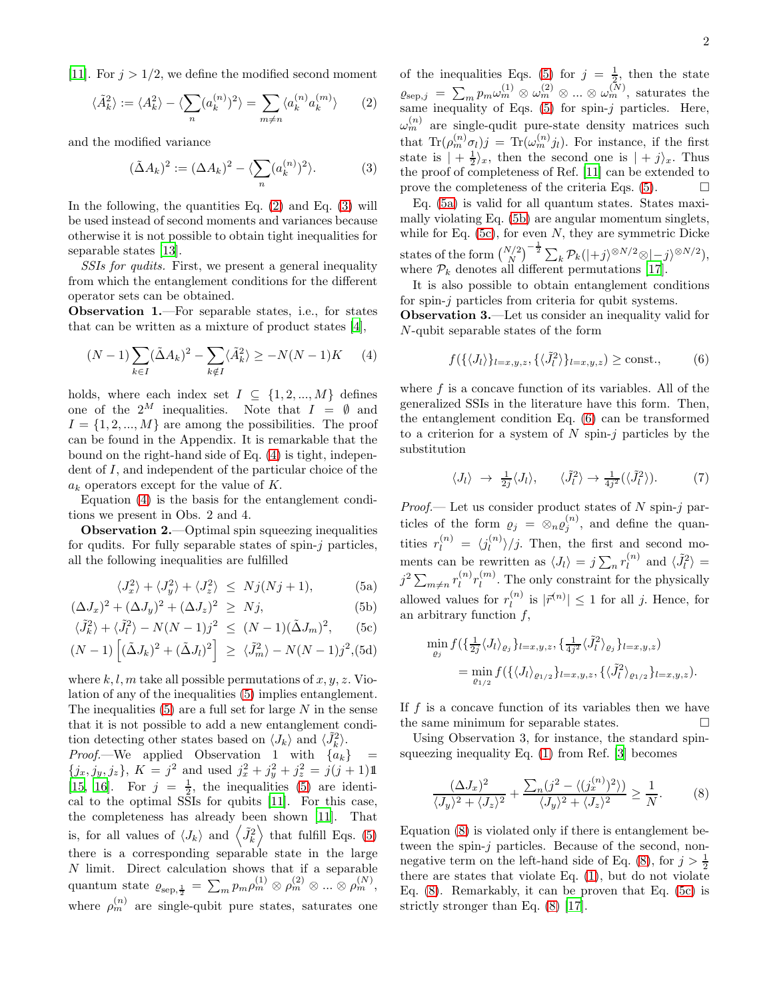[\[11\]](#page-3-9). For  $j > 1/2$ , we define the modified second moment

$$
\langle \tilde{A}_k^2 \rangle := \langle A_k^2 \rangle - \langle \sum_n (a_k^{(n)})^2 \rangle = \sum_{m \neq n} \langle a_k^{(n)} a_k^{(m)} \rangle \qquad (2)
$$

and the modified variance

$$
(\tilde{\Delta}A_k)^2 := (\Delta A_k)^2 - \langle \sum_n (a_k^{(n)})^2 \rangle.
$$
 (3)

In the following, the quantities Eq.  $(2)$  and Eq.  $(3)$  will be used instead of second moments and variances because otherwise it is not possible to obtain tight inequalities for separable states [\[13\]](#page-3-11).

SSIs for qudits. First, we present a general inequality from which the entanglement conditions for the different operator sets can be obtained.

Observation 1.—For separable states, i.e., for states that can be written as a mixture of product states [\[4\]](#page-3-3),

$$
(N-1)\sum_{k\in I} (\tilde{\Delta}A_k)^2 - \sum_{k\notin I} \langle \tilde{A}_k^2 \rangle \ge -N(N-1)K \qquad (4)
$$

holds, where each index set  $I \subseteq \{1, 2, ..., M\}$  defines one of the  $2^M$  inequalities. Note that  $I = \emptyset$  and  $I = \{1, 2, ..., M\}$  are among the possibilities. The proof can be found in the Appendix. It is remarkable that the bound on the right-hand side of Eq. [\(4\)](#page-4-3) is tight, independent of I, and independent of the particular choice of the  $a_k$  operators except for the value of K.

Equation [\(4\)](#page-4-3) is the basis for the entanglement conditions we present in Obs. 2 and 4.

Observation 2.—Optimal spin squeezing inequalities for qudits. For fully separable states of spin- $j$  particles, all the following inequalities are fulfilled

<span id="page-1-0"></span>
$$
\langle J_x^2 \rangle + \langle J_y^2 \rangle + \langle J_z^2 \rangle \le Nj(Nj+1), \tag{5a}
$$

$$
(\Delta J_x)^2 + (\Delta J_y)^2 + (\Delta J_z)^2 \ge Nj,
$$
 (5b)

$$
\langle \tilde{J}_k^2 \rangle + \langle \tilde{J}_l^2 \rangle - N(N-1)j^2 \le (N-1)(\tilde{\Delta}J_m)^2, \quad \text{(5c)}
$$

$$
(N-1)\left[ (\tilde{\Delta}J_k)^2 + (\tilde{\Delta}J_l)^2 \right] \ge \langle \tilde{J}_m^2 \rangle - N(N-1)j^2, (5d)
$$

where k, l, m take all possible permutations of x, y, z. Violation of any of the inequalities [\(5\)](#page-1-0) implies entanglement. The inequalities  $(5)$  are a full set for large N in the sense that it is not possible to add a new entanglement condition detecting other states based on  $\langle J_k \rangle$  and  $\langle \tilde{J}_k^2 \rangle$ .

*Proof.*—We applied Observation 1 with  ${a_k}$  =  ${j_x, j_y, j_z}$ ,  $K = j^2$  and used  $j_x^2 + j_y^2 + j_z^2 = j(j + 1)1$ [\[15,](#page-3-13) [16\]](#page-3-14). For  $j = \frac{1}{2}$ , the inequalities [\(5\)](#page-1-0) are identical to the optimal SSIs for qubits [\[11\]](#page-3-9). For this case, the completeness has already been shown [\[11\]](#page-3-9). That is, for all values of  $\langle J_k \rangle$  and  $\langle \tilde{J}_k^2 \rangle$  that fulfill Eqs. [\(5\)](#page-1-0) there is a corresponding separable state in the large N limit. Direct calculation shows that if a separable quantum state  $\varrho_{\rm sep, \frac{1}{2}} = \sum_m p_m \rho_m^{(1)} \otimes \rho_m^{(2)} \otimes ... \otimes \rho_m^{(N)},$ where  $\rho_m^{(n)}$  are single-qubit pure states, saturates one

of the inequalities Eqs. [\(5\)](#page-1-0) for  $j = \frac{1}{2}$ , then the state  $\varrho_{\text{sep},j} = \sum_m p_m \omega_m^{(1)} \otimes \omega_m^{(2)} \otimes ... \otimes \omega_m^{(N)},$  saturates the same inequality of Eqs.  $(5)$  for spin-j particles. Here,  $\omega_m^{(n)}$  are single-qudit pure-state density matrices such that  $\text{Tr}(\rho_m^{(n)}\sigma_l)j = \text{Tr}(\omega_m^{(n)}j_l)$ . For instance, if the first state is  $| + \frac{1}{2} \rangle_x$ , then the second one is  $| + j \rangle_x$ . Thus the proof of completeness of Ref. [\[11](#page-3-9)] can be extended to prove the completeness of the criteria Eqs.  $(5)$ .

Eq. [\(5a\)](#page-1-0) is valid for all quantum states. States maximally violating Eq. [\(5b\)](#page-1-0) are angular momentum singlets, while for Eq.  $(5c)$ , for even N, they are symmetric Dicke states of the form  $\binom{N/2}{N}^{-\frac{1}{2}} \sum_{k} \mathcal{P}_k(|+j\rangle^{\otimes N/2} \otimes |-j\rangle^{\otimes N/2}),$ where  $P_k$  denotes all different permutations [\[17\]](#page-3-15).

It is also possible to obtain entanglement conditions for spin-j particles from criteria for qubit systems.

Observation 3.—Let us consider an inequality valid for N-qubit separable states of the form

$$
f(\{\langle J_l \rangle\}_{l=x,y,z}, \{\langle \tilde{J}_l^2 \rangle\}_{l=x,y,z}) \ge \text{const.},\tag{6}
$$

where  $f$  is a concave function of its variables. All of the generalized SSIs in the literature have this form. Then, the entanglement condition Eq. [\(6\)](#page-4-4) can be transformed to a criterion for a system of  $N$  spin- $j$  particles by the substitution

$$
\langle J_l \rangle \rightarrow \frac{1}{2j} \langle J_l \rangle, \quad \langle \tilde{J}_l^2 \rangle \rightarrow \frac{1}{4j^2} (\langle \tilde{J}_l^2 \rangle). \tag{7}
$$

*Proof.*— Let us consider product states of  $N$  spin- $j$  particles of the form  $\rho_j = \otimes_n \rho_j^{(n)}$ , and define the quantities  $r_l^{(n)} = \langle j_l^{(n)} \rangle$  $\binom{n}{l}/j$ . Then, the first and second moments can be rewritten as  $\langle J_l \rangle = j \sum_n r_l^{(n)}$  $\binom{n}{l}$  and  $\langle \tilde{J}_l^2 \rangle =$  $j^2 \sum_{m \neq n} r_l^{(n)}$  $\binom{n}{l}r_{l}^{(m)}$  $\binom{m}{l}$ . The only constraint for the physically allowed values for  $r_l^{(n)}$  $\left|\vec{r}^{(n)}\right| \leq 1$  for all j. Hence, for an arbitrary function  $f$ ,

$$
\min_{\varrho_j} f\left(\frac{1}{2j}\langle J_l \rangle_{\varrho_j}\right)_{l=x,y,z}, \frac{1}{4j^2}\langle \tilde{J}_l^2 \rangle_{\varrho_j}\}_{l=x,y,z})
$$
\n
$$
= \min_{\varrho_{1/2}} f\left(\frac{1}{\langle J_l \rangle_{\varrho_{1/2}}}\right)_{l=x,y,z}, \frac{1}{\langle \tilde{J}_l^2 \rangle_{\varrho_{1/2}}}\}_{l=x,y,z}.
$$

If  $f$  is a concave function of its variables then we have the same minimum for separable states.  $\Box$ 

Using Observation 3, for instance, the standard spinsqueezing inequality Eq.  $(1)$  from Ref. [\[3](#page-3-2)] becomes

$$
\frac{(\Delta J_x)^2}{\langle J_y \rangle^2 + \langle J_z \rangle^2} + \frac{\sum_n (j^2 - \langle (j_x^{(n)})^2 \rangle)}{\langle J_y \rangle^2 + \langle J_z \rangle^2} \ge \frac{1}{N}.
$$
 (8)

Equation [\(8\)](#page-4-5) is violated only if there is entanglement between the spin-j particles. Because of the second, non-negative term on the left-hand side of Eq. [\(8\)](#page-4-5), for  $j > \frac{1}{2}$ there are states that violate Eq. [\(1\)](#page-4-0), but do not violate Eq. [\(8\)](#page-4-5). Remarkably, it can be proven that Eq. [\(5c\)](#page-1-0) is strictly stronger than Eq. [\(8\)](#page-4-5) [\[17](#page-3-15)].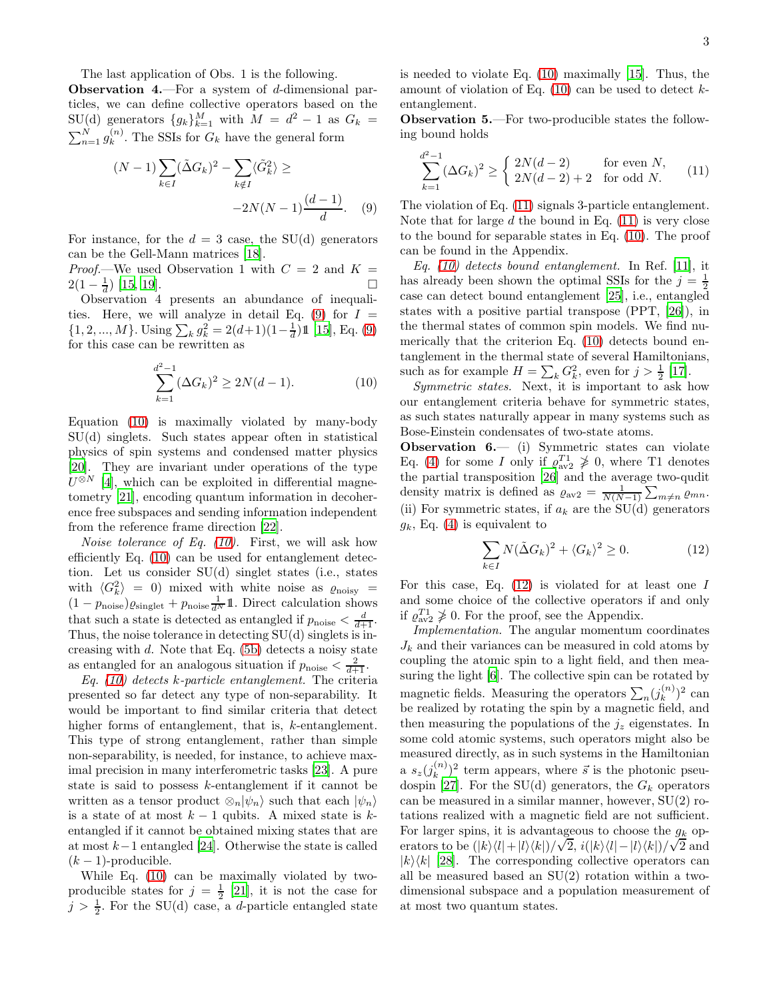**Observation 4.**—For a system of  $d$ -dimensional particles, we can define collective operators based on the SU(d) generators  $\{g_k\}_{k=1}^M$  with  $M = d^2 - 1$  as  $G_k =$  $\sum_{n=1}^{N} g_k^{(n)}$  $\binom{n}{k}$ . The SSIs for  $G_k$  have the general form

$$
(N-1)\sum_{k\in I} (\tilde{\Delta}G_k)^2 - \sum_{k\notin I} \langle \tilde{G}_k^2 \rangle \ge -2N(N-1)\frac{(d-1)}{d}.
$$
 (9)

For instance, for the  $d = 3$  case, the SU(d) generators can be the Gell-Mann matrices [\[18](#page-3-16)].

Proof.—We used Observation 1 with  $C = 2$  and  $K =$  $2(1-\frac{1}{d})$  [\[15,](#page-3-13) [19\]](#page-3-17).

Observation 4 presents an abundance of inequali-ties. Here, we will analyze in detail Eq. [\(9\)](#page-4-6) for  $I =$  $\{1, 2, ..., M\}$ . Using  $\sum_k g_k^2 = 2(d+1)(1-\frac{1}{d})\mathbb{1}$  [\[15\]](#page-3-13), Eq. [\(9\)](#page-4-6) for this case can be rewritten as

<span id="page-2-0"></span>
$$
\sum_{k=1}^{d^2-1} (\Delta G_k)^2 \ge 2N(d-1). \tag{10}
$$

Equation [\(10\)](#page-2-0) is maximally violated by many-body SU(d) singlets. Such states appear often in statistical physics of spin systems and condensed matter physics [\[20\]](#page-3-18). They are invariant under operations of the type  $U^{\otimes N}$  [\[4\]](#page-3-3), which can be exploited in differential magnetometry [\[21\]](#page-3-19), encoding quantum information in decoherence free subspaces and sending information independent from the reference frame direction [\[22\]](#page-3-20).

Noise tolerance of Eq. [\(10\)](#page-2-0). First, we will ask how efficiently Eq. [\(10\)](#page-2-0) can be used for entanglement detection. Let us consider SU(d) singlet states (i.e., states with  $\langle G_k^2 \rangle = 0$  mixed with white noise as  $\varrho_{\rm noisy} =$  $(1 - p_{\text{noise}}) \varrho_{\text{singlet}} + p_{\text{noise}} \frac{1}{d^N} \mathbb{1}$ . Direct calculation shows that such a state is detected as entangled if  $p_{\text{noise}} < \frac{d}{d+1}$ . Thus, the noise tolerance in detecting  $SU(d)$  singlets is increasing with  $d$ . Note that Eq. [\(5b\)](#page-1-0) detects a noisy state as entangled for an analogous situation if  $p_{\text{noise}} < \frac{2}{d+1}$ .

Eq.  $(10)$  detects k-particle entanglement. The criteria presented so far detect any type of non-separability. It would be important to find similar criteria that detect higher forms of entanglement, that is, k-entanglement. This type of strong entanglement, rather than simple non-separability, is needed, for instance, to achieve maximal precision in many interferometric tasks [\[23\]](#page-3-21). A pure state is said to possess k-entanglement if it cannot be written as a tensor product  $\otimes_n|\psi_n\rangle$  such that each  $|\psi_n\rangle$ is a state of at most  $k-1$  qubits. A mixed state is  $k-1$ entangled if it cannot be obtained mixing states that are at most k−1 entangled [\[24\]](#page-3-22). Otherwise the state is called  $(k-1)$ -producible.

While Eq. [\(10\)](#page-2-0) can be maximally violated by twoproducible states for  $j = \frac{1}{2}$  [\[21](#page-3-19)], it is not the case for  $j > \frac{1}{2}$ . For the SU(d) case, a *d*-particle entangled state is needed to violate Eq. [\(10\)](#page-2-0) maximally [\[15\]](#page-3-13). Thus, the amount of violation of Eq.  $(10)$  can be used to detect kentanglement.

Observation 5.—For two-producible states the following bound holds

$$
\sum_{k=1}^{d^2-1} (\Delta G_k)^2 \ge \begin{cases} 2N(d-2) & \text{for even } N, \\ 2N(d-2) + 2 & \text{for odd } N. \end{cases} (11)
$$

The violation of Eq. [\(11\)](#page-4-7) signals 3-particle entanglement. Note that for large  $d$  the bound in Eq.  $(11)$  is very close to the bound for separable states in Eq. [\(10\)](#page-2-0). The proof can be found in the Appendix.

Eq. [\(10\)](#page-2-0) detects bound entanglement. In Ref. [\[11\]](#page-3-9), it has already been shown the optimal SSIs for the  $j = \frac{1}{2}$ case can detect bound entanglement [\[25](#page-3-23)], i.e., entangled states with a positive partial transpose (PPT, [\[26\]](#page-3-24)), in the thermal states of common spin models. We find numerically that the criterion Eq. [\(10\)](#page-2-0) detects bound entanglement in the thermal state of several Hamiltonians, such as for example  $H = \sum_{k} G_{k}^{2}$ , even for  $j > \frac{1}{2}$  [\[17\]](#page-3-15).

Symmetric states. Next, it is important to ask how our entanglement criteria behave for symmetric states, as such states naturally appear in many systems such as Bose-Einstein condensates of two-state atoms.

Observation 6.— (i) Symmetric states can violate Eq. [\(4\)](#page-4-3) for some *I* only if  $\rho_{av2}^{T1} \not\geq 0$ , where T1 denotes the partial transposition [\[26\]](#page-3-24) and the average two-qudit density matrix is defined as  $\varrho_{\text{av2}} = \frac{1}{N(N-1)} \sum_{m \neq n} \varrho_{mn}$ . (ii) For symmetric states, if  $a_k$  are the SU(d) generators  $g_k$ , Eq. [\(4\)](#page-4-3) is equivalent to

$$
\sum_{k \in I} N(\tilde{\Delta}G_k)^2 + \langle G_k \rangle^2 \ge 0.
$$
 (12)

For this case, Eq. [\(12\)](#page-4-8) is violated for at least one I and some choice of the collective operators if and only if  $\rho_{\text{av2}}^{T_1} \ngeq 0$ . For the proof, see the Appendix.

Implementation. The angular momentum coordinates  $J_k$  and their variances can be measured in cold atoms by coupling the atomic spin to a light field, and then measuring the light [\[6](#page-3-5)]. The collective spin can be rotated by magnetic fields. Measuring the operators  $\sum_n (j_k^{(n)}$  $\binom{n}{k}^2$  can be realized by rotating the spin by a magnetic field, and then measuring the populations of the  $j_z$  eigenstates. In some cold atomic systems, such operators might also be measured directly, as in such systems in the Hamiltonian a  $s_z(j_k^{(n)}$  $\binom{n}{k}$ <sup>2</sup> term appears, where  $\vec{s}$  is the photonic pseu-dospin [\[27\]](#page-3-25). For the SU(d) generators, the  $G_k$  operators can be measured in a similar manner, however, SU(2) rotations realized with a magnetic field are not sufficient. For larger spins, it is advantageous to choose the  $q_k$  operators to be  $(|k\rangle\langle l|+|l\rangle\langle k|)/\sqrt{2}$ ,  $i(|k\rangle\langle l|-|l\rangle\langle k|)/\sqrt{2}$  and  $|k\rangle\langle k|$  [\[28](#page-3-26)]. The corresponding collective operators can all be measured based an SU(2) rotation within a twodimensional subspace and a population measurement of at most two quantum states.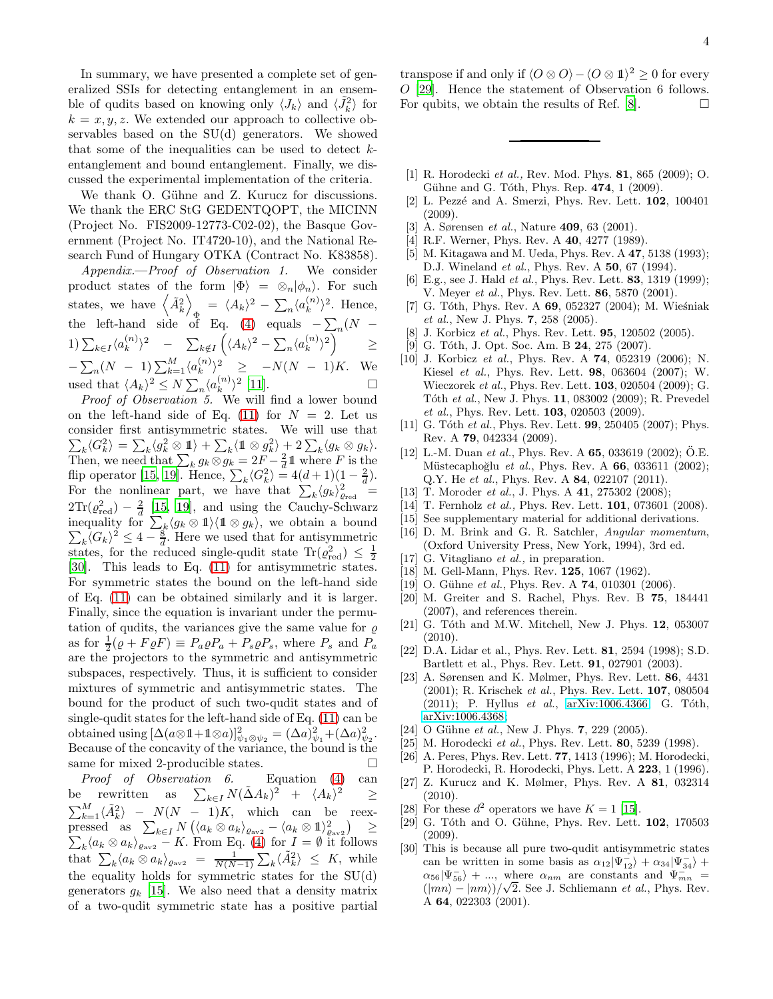In summary, we have presented a complete set of generalized SSIs for detecting entanglement in an ensemble of qudits based on knowing only  $\langle J_k \rangle$  and  $\langle \tilde{J}_k^2 \rangle$  for  $k = x, y, z$ . We extended our approach to collective observables based on the SU(d) generators. We showed that some of the inequalities can be used to detect  $k$ entanglement and bound entanglement. Finally, we discussed the experimental implementation of the criteria.

We thank O. Gühne and Z. Kurucz for discussions. We thank the ERC StG GEDENTQOPT, the MICINN (Project No. FIS2009-12773-C02-02), the Basque Government (Project No. IT4720-10), and the National Research Fund of Hungary OTKA (Contract No. K83858).

Appendix.—Proof of Observation 1. We consider product states of the form  $|\Phi\rangle = \otimes_n |\phi_n\rangle$ . For such states, we have  $\left\langle \tilde{A}_k^2 \right\rangle$  $\Phi = \langle A_k \rangle^2 - \sum_n \langle a_k^{(n)} \rangle$  $\binom{n}{k}^2$ . Hence, the left-hand side of Eq. [\(4\)](#page-4-3) equals  $-\sum_{n} (N -$ 1)  $\sum_{k\in I} \langle a_k^{(n)} \rangle$  $\binom{n}{k}^2$  –  $\sum_{k \notin I}$  $\left(\langle A_k\rangle^2-\sum_n\langle a_k^{(n)}\rangle\right)$  $\binom{n}{k}$ <sup>2</sup>  $\geq$  $-\sum_{n}(N - 1)\sum_{k=1}^{M}\langle a_k^{(n)}\rangle$  $\langle k^{(n)} \rangle^2 \geq -N(N-1)K$ . We used that  $\langle A_k \rangle^2 \le N \sum_n \langle a_k^{(n)} \rangle^2$  $\binom{n}{k}$  [\[11](#page-3-9)].

Proof of Observation 5. We will find a lower bound on the left-hand side of Eq. [\(11\)](#page-4-7) for  $N = 2$ . Let us consider first antisymmetric states. We will use that  $\sum_{k} \langle G_{k}^{2} \rangle = \sum_{k} \langle g_{k}^{2} \otimes \mathbb{1} \rangle + \sum_{k} \langle \mathbb{1} \otimes g_{k}^{2} \rangle + 2 \sum_{k} \langle g_{k} \otimes g_{k} \rangle.$ Then, we need that  $\sum_k g_k \otimes g_k = 2F - \frac{2}{d} \mathbb{1}$  where F is the flip operator [\[15,](#page-3-13) [19\]](#page-3-17). Hence,  $\sum_{k} \langle G_{k}^{2} \rangle = 4(d+1)(1-\frac{2}{d}).$ For the nonlinear part, we have that  $\sum_{k} \langle g_k \rangle_{\text{Pred}}^2 =$  $2\text{Tr}(\varrho_{\text{red}}^2) - \frac{2}{d}$  [\[15](#page-3-13), [19\]](#page-3-17), and using the Cauchy-Schwarz inequality for  $\sum_{k} \langle g_k \otimes \mathbb{1} \rangle \langle \mathbb{1} \otimes g_k \rangle$ , we obtain a bound  $\sum_{k}$  $\langle G_k \rangle^2 \leq 4 - \frac{8}{d}$ . Here we used that for antisymmetric states, for the reduced single-qudit state  $\text{Tr}(\varrho_{\text{red}}^2) \leq \frac{1}{2}$ [\[30\]](#page-3-27). This leads to Eq. [\(11\)](#page-4-7) for antisymmetric states. For symmetric states the bound on the left-hand side of Eq. [\(11\)](#page-4-7) can be obtained similarly and it is larger. Finally, since the equation is invariant under the permutation of qudits, the variances give the same value for  $\rho$ as for  $\frac{1}{2}(\rho + F \rho F) \equiv P_a \rho P_a + P_s \rho P_s$ , where  $P_s$  and  $P_a$ are the projectors to the symmetric and antisymmetric subspaces, respectively. Thus, it is sufficient to consider mixtures of symmetric and antisymmetric states. The bound for the product of such two-qudit states and of single-qudit states for the left-hand side of Eq. [\(11\)](#page-4-7) can be obtained using  $[\Delta(a\otimes \mathbb{1} + \mathbb{1}\otimes a)]_{\psi_1\otimes \psi_2}^2 = (\Delta a)_{\psi_1}^2 + (\Delta a)_{\psi_2}^2$ . Because of the concavity of the variance, the bound is the same for mixed 2-producible states.  $\Box$ 

Proof of Observation 6. Equation [\(4\)](#page-4-3) can be rewritten as  $\sum_{k\in I} N(\tilde{\Delta}A_k)^2 + \langle A_k \rangle^2 \ge$  $\sum_{k=1}^{M} \langle \tilde{A}_{k}^{2} \rangle - N(N-1)K$ , which can be reexpressed as  $\sum_{k\in I} N\left(\langle a_k \otimes a_k \rangle_{\varrho_{\text{av2}}}-\langle a_k \otimes a_k \rangle_{\varrho_{\text{av2}}}\right)$  $\sum$ ≥  $\int_k \langle a_k \otimes a_k \rangle_{\varrho_{\text{av2}}} - K$ . From Eq. [\(4\)](#page-4-3) for  $I = \emptyset$  it follows that  $\sum_{k} \langle a_k \otimes a_k \rangle_{\text{cav2}} = \frac{1}{N(N-1)} \sum_{k} \langle \tilde{A}_k^2 \rangle \leq K$ , while the equality holds for symmetric states for the SU(d) generators  $q_k$  [\[15](#page-3-13)]. We also need that a density matrix of a two-qudit symmetric state has a positive partial

transpose if and only if  $\langle O \otimes O \rangle - \langle O \otimes \mathbb{1} \rangle^2 \geq 0$  for every O [\[29\]](#page-3-28). Hence the statement of Observation 6 follows. For qubits, we obtain the results of Ref.  $[8]$ .

- <span id="page-3-0"></span>[1] R. Horodecki et al., Rev. Mod. Phys. 81, 865 (2009); O. Gühne and G. Tóth, Phys. Rep.  $474$ , 1 (2009).
- <span id="page-3-1"></span>[2] L. Pezzé and A. Smerzi, Phys. Rev. Lett. 102, 100401 (2009).
- <span id="page-3-2"></span>[3] A. Sørensen *et al.*, Nature **409**, 63 (2001).
- <span id="page-3-3"></span>[4] R.F. Werner, Phys. Rev. A 40, 4277 (1989).
- <span id="page-3-4"></span>[5] M. Kitagawa and M. Ueda, Phys. Rev. A **47**, 5138 (1993); D.J. Wineland *et al.*, Phys. Rev. A **50**, 67 (1994).
- <span id="page-3-5"></span>[6] E.g., see J. Hald *et al.*, Phys. Rev. Lett. **83**, 1319 (1999); V. Meyer *et al.*, Phys. Rev. Lett. **86**, 5870 (2001).
- <span id="page-3-6"></span>[7] G. Tóth, Phys. Rev. A  $69, 052327$  (2004); M. Wieśniak et al., New J. Phys. 7, 258 (2005).
- <span id="page-3-29"></span>[8] J. Korbicz et al., Phys. Rev. Lett. **95**, 120502 (2005).
- <span id="page-3-7"></span>[9] G. Tóth, J. Opt. Soc. Am. B 24, 275 (2007).
- <span id="page-3-8"></span>[10] J. Korbicz et al., Phys. Rev. A **74**, 052319 (2006); N. Kiesel et al., Phys. Rev. Lett. 98, 063604 (2007); W. Wieczorek et al., Phys. Rev. Lett. 103, 020504 (2009); G. Tóth et al., New J. Phys. 11, 083002 (2009); R. Prevedel et al., Phys. Rev. Lett. 103, 020503 (2009).
- <span id="page-3-9"></span>[11] G. Tóth et al., Phys. Rev. Lett.  $99, 250405$  (2007); Phys. Rev. A 79, 042334 (2009).
- <span id="page-3-10"></span>[12] L.-M. Duan et al., Phys. Rev. A  $65$ , 033619 (2002); O.E. Müstecaplıoğlu et al., Phys. Rev. A  $66$ , 033611 (2002); Q.Y. He et al., Phys. Rev. A 84, 022107 (2011).
- <span id="page-3-11"></span>[13] T. Moroder *et al.*, J. Phys. A 41, 275302 (2008);
- <span id="page-3-12"></span>[14] T. Fernholz et al., Phys. Rev. Lett. **101**, 073601 (2008).
- <span id="page-3-13"></span>[15] See supplementary material for additional derivations.
- <span id="page-3-14"></span>[16] D. M. Brink and G. R. Satchler, Angular momentum, (Oxford University Press, New York, 1994), 3rd ed.
- <span id="page-3-15"></span>[17] G. Vitagliano *et al.*, in preparation.
- <span id="page-3-16"></span>[18] M. Gell-Mann, Phys. Rev. **125**, 1067 (1962).
- <span id="page-3-17"></span>[19] O. Gühne et al., Phys. Rev. A 74, 010301 (2006).
- <span id="page-3-18"></span>[20] M. Greiter and S. Rachel, Phys. Rev. B 75, 184441 (2007), and references therein.
- <span id="page-3-19"></span>[21] G. Tóth and M.W. Mitchell, New J. Phys.  $12$ , 053007  $(2010).$
- <span id="page-3-20"></span>[22] D.A. Lidar et al., Phys. Rev. Lett. 81, 2594 (1998); S.D. Bartlett et al., Phys. Rev. Lett. 91, 027901 (2003).
- <span id="page-3-21"></span>[23] A. Sørensen and K. Mølmer, Phys. Rev. Lett. 86, 4431 (2001); R. Krischek et al., Phys. Rev. Lett. 107, 080504 (2011); P. Hyllus  $et \ al., \ arXiv:1006.4366; \ G. Tóth,$  $et \ al., \ arXiv:1006.4366; \ G. Tóth,$  $et \ al., \ arXiv:1006.4366; \ G. Tóth,$ [arXiv:1006.4368;](http://arxiv.org/abs/1006.4368)
- <span id="page-3-22"></span>[24] O Gühne et al., New J. Phys.  $7, 229$  (2005).
- <span id="page-3-23"></span>[25] M. Horodecki et al., Phys. Rev. Lett. 80, 5239 (1998).
- <span id="page-3-24"></span>[26] A. Peres, Phys. Rev. Lett. 77, 1413 (1996); M. Horodecki, P. Horodecki, R. Horodecki, Phys. Lett. A 223, 1 (1996).
- <span id="page-3-25"></span>[27] Z. Kurucz and K. Mølmer, Phys. Rev. A 81, 032314  $(2010)$
- <span id="page-3-26"></span>[28] For these  $d^2$  operators we have  $K = 1$  [\[15](#page-3-13)].
- <span id="page-3-28"></span>[29] G. Tóth and O. Gühne, Phys. Rev. Lett. **102**, 170503  $(2009)$ .
- <span id="page-3-27"></span>[30] This is because all pure two-qudit antisymmetric states can be written in some basis as  $\alpha_{12}|\Psi_{12}^{-}\rangle + \alpha_{34}|\Psi_{34}^{-}\rangle +$  $\alpha_{56}|\Psi_{56}^{-}\rangle + ...$ , where  $\alpha_{nm}$  are constants and  $\Psi_{mn}^{-}$  $(\vert mn \rangle - \vert nm \rangle)/\sqrt{2}$ . See J. Schliemann *et al.*, Phys. Rev. A 64, 022303 (2001).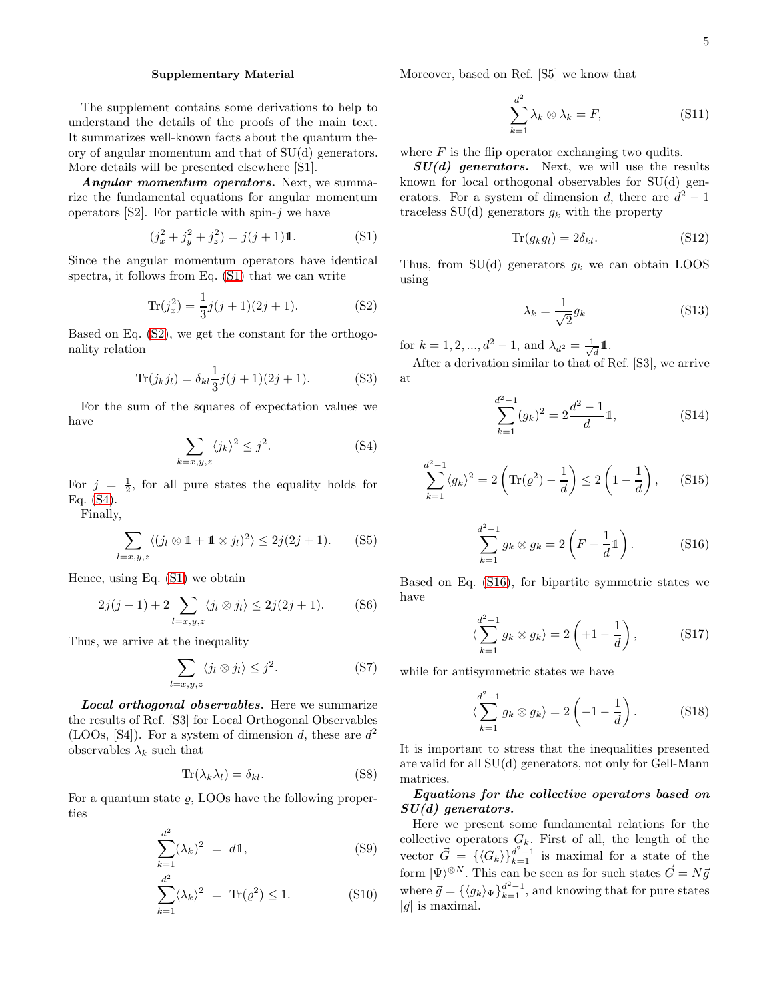## Supplementary Material

The supplement contains some derivations to help to understand the details of the proofs of the main text. It summarizes well-known facts about the quantum theory of angular momentum and that of SU(d) generators. More details will be presented elsewhere [S1].

Angular momentum operators. Next, we summarize the fundamental equations for angular momentum operators  $[S2]$ . For particle with spin-j we have

<span id="page-4-0"></span>
$$
(j_x^2 + j_y^2 + j_z^2) = j(j+1)\mathbb{1}.
$$
 (S1)

Since the angular momentum operators have identical spectra, it follows from Eq. [\(S1\)](#page-4-0) that we can write

<span id="page-4-1"></span>
$$
\text{Tr}(j_x^2) = \frac{1}{3}j(j+1)(2j+1). \tag{S2}
$$

Based on Eq. [\(S2\)](#page-4-1), we get the constant for the orthogonality relation

<span id="page-4-2"></span>
$$
\text{Tr}(j_k j_l) = \delta_{kl} \frac{1}{3} j(j+1)(2j+1). \tag{S3}
$$

For the sum of the squares of expectation values we have

<span id="page-4-3"></span>
$$
\sum_{k=x,y,z} \langle j_k \rangle^2 \le j^2. \tag{S4}
$$

For  $j = \frac{1}{2}$ , for all pure states the equality holds for Eq. [\(S4\)](#page-4-3).

Finally,

$$
\sum_{l=x,y,z} \langle (j_l \otimes 1 + 1 \otimes j_l)^2 \rangle \le 2j(2j+1). \tag{S5}
$$

Hence, using Eq. [\(S1\)](#page-4-0) we obtain

<span id="page-4-4"></span>
$$
2j(j+1) + 2\sum_{l=x,y,z} \langle j_l \otimes j_l \rangle \le 2j(2j+1). \tag{S6}
$$

Thus, we arrive at the inequality

$$
\sum_{l=x,y,z} \langle j_l \otimes j_l \rangle \le j^2. \tag{S7}
$$

Local orthogonal observables. Here we summarize the results of Ref. [S3] for Local Orthogonal Observables (LOOs, [S4]). For a system of dimension d, these are  $d^2$ observables  $\lambda_k$  such that

<span id="page-4-5"></span>
$$
\text{Tr}(\lambda_k \lambda_l) = \delta_{kl}.\tag{S8}
$$

For a quantum state  $\rho$ , LOOs have the following properties

<span id="page-4-6"></span>
$$
\sum_{k=1}^{d^2} (\lambda_k)^2 = d1,
$$
 (S9)

$$
\sum_{k=1}^{d^2} \langle \lambda_k \rangle^2 = \text{Tr}(\varrho^2) \le 1. \tag{S10}
$$

Moreover, based on Ref. [S5] we know that

<span id="page-4-7"></span>
$$
\sum_{k=1}^{d^2} \lambda_k \otimes \lambda_k = F,\tag{S11}
$$

where  $F$  is the flip operator exchanging two qudits.

 $SU(d)$  generators. Next, we will use the results known for local orthogonal observables for SU(d) generators. For a system of dimension d, there are  $d^2 - 1$ traceless  $SU(d)$  generators  $g_k$  with the property

<span id="page-4-8"></span>
$$
\text{Tr}(g_k g_l) = 2\delta_{kl}.\tag{S12}
$$

Thus, from SU(d) generators  $g_k$  we can obtain LOOS using

$$
\lambda_k = \frac{1}{\sqrt{2}} g_k \tag{S13}
$$

for  $k = 1, 2, ..., d^2 - 1$ , and  $\lambda_{d^2} = \frac{1}{\sqrt{2}}$  $\bar{d}^{1}$ .

After a derivation similar to that of Ref. [S3], we arrive at

<span id="page-4-10"></span>
$$
\sum_{k=1}^{d^2-1} (g_k)^2 = 2\frac{d^2-1}{d}1,
$$
 (S14)

$$
\sum_{k=1}^{d^2-1} \langle g_k \rangle^2 = 2 \left( \text{Tr}(\varrho^2) - \frac{1}{d} \right) \le 2 \left( 1 - \frac{1}{d} \right), \quad (S15)
$$

<span id="page-4-9"></span>
$$
\sum_{k=1}^{d^2-1} g_k \otimes g_k = 2\left(F - \frac{1}{d}1\!\!1\right). \tag{S16}
$$

Based on Eq. [\(S16\)](#page-4-9), for bipartite symmetric states we have

$$
\langle \sum_{k=1}^{d^2-1} g_k \otimes g_k \rangle = 2\left(+1-\frac{1}{d}\right),\tag{S17}
$$

while for antisymmetric states we have

$$
\langle \sum_{k=1}^{d^2-1} g_k \otimes g_k \rangle = 2 \left( -1 - \frac{1}{d} \right). \tag{S18}
$$

It is important to stress that the inequalities presented are valid for all SU(d) generators, not only for Gell-Mann matrices.

## Equations for the collective operators based on  $SU(d)$  generators.

Here we present some fundamental relations for the collective operators  $G_k$ . First of all, the length of the vector  $\vec{G} = {\langle G_k \rangle}_{k=1}^{d^2-1}$  is maximal for a state of the form  $|\Psi\rangle^{\otimes N}$ . This can be seen as for such states  $\vec{G} = N\vec{g}$ where  $\vec{g} = \{ \langle g_k \rangle_{\Psi} \}_{k=1}^{d^2-1}$ , and knowing that for pure states  $|\vec{g}|$  is maximal.